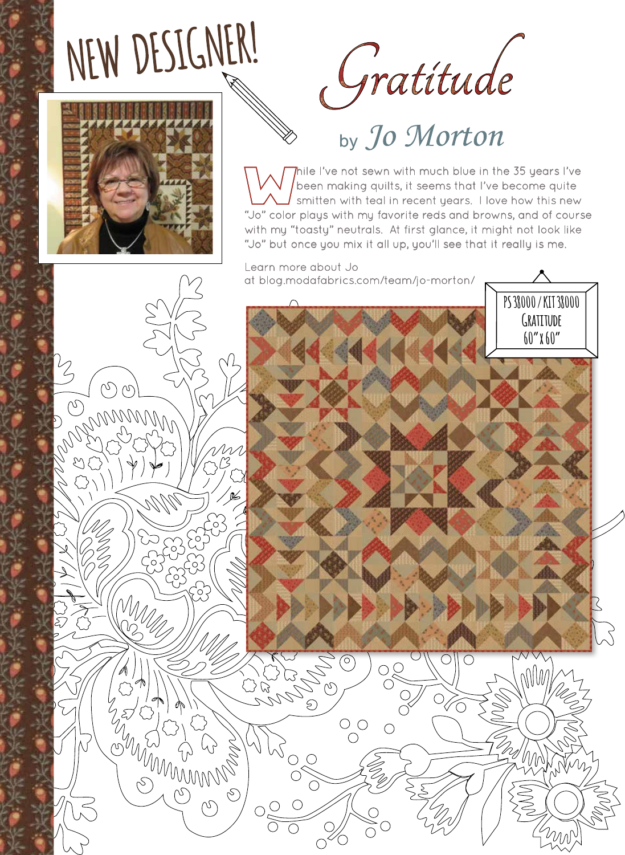## NEW DESIGNER!





Thile I've not sewn with much blue in the 35 years I've been making quilts, it seems that I've become quite smitten with teal in recent years. I love how this new "Jo" color plays with my favorite reds and browns, and of course with my "toasty" neutrals. At first glance, it might not look like "Jo" but once you mix it all up, you'll see that it really is me.

**PS 38000 / KIT 38000**

**Gratitude 60" x 60"**

Learn more about Jo at blog.modafabrics.com/team/jo-morton/



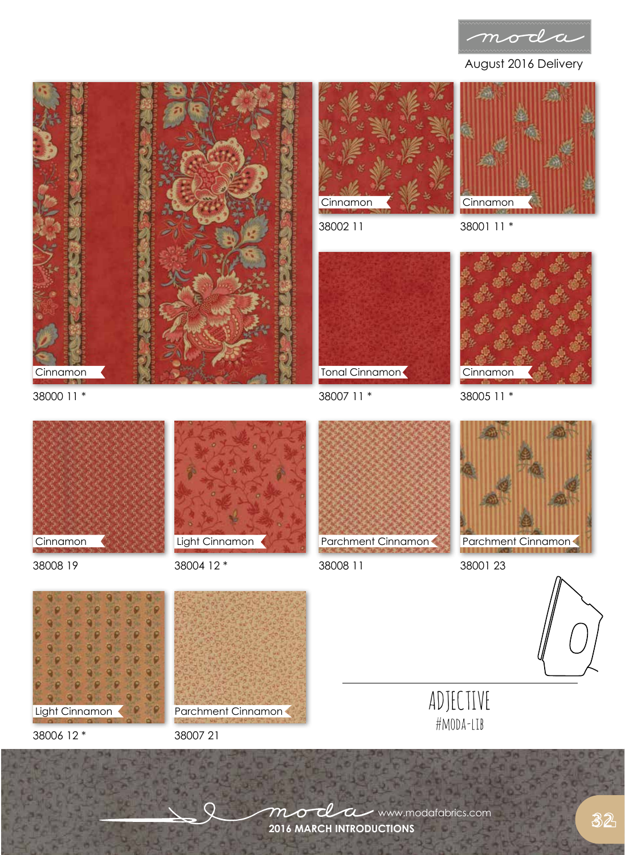

August 2016 Delivery





38002 11



38005 11 \*

Cinnamon



38000 11 \*





38008 19 38008 11 38004 12 \*



38007 11 \*

Tonal Cinnamon



38001 23





38006 12 \*

38007 21





**2016 MARCH INTRODUCTIONS**  $m$ o $d$ a www.modafabrics.com

32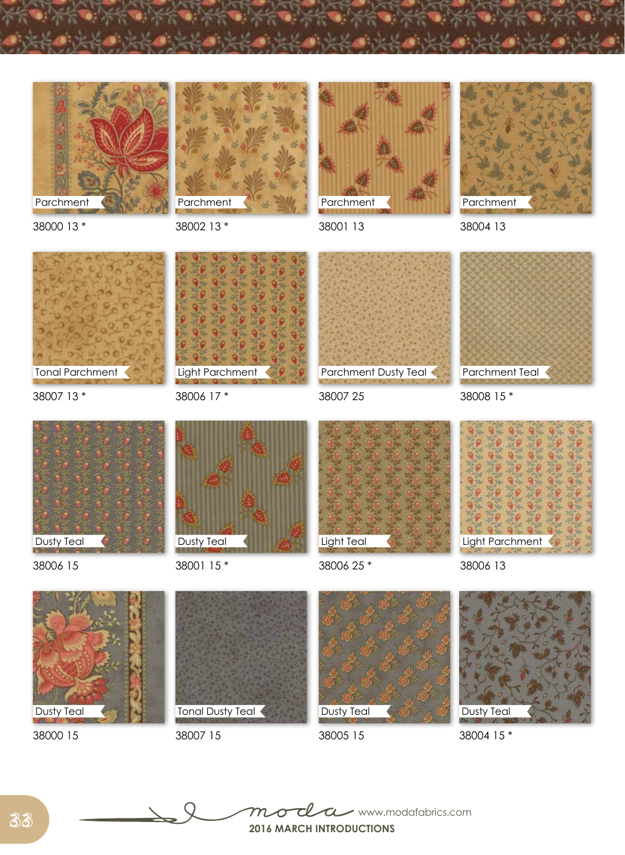







38001 13

38004 13

38000 13 \*

38007 13 \*

Tonal Parchment

38002 13 \*



38006 17 \*



38007 25



38008 15 \*



38006 15



38001 15 \*



38006 25 \*





38000 15



38007 15

Dusty Teal

38005 15



38004 15 \*